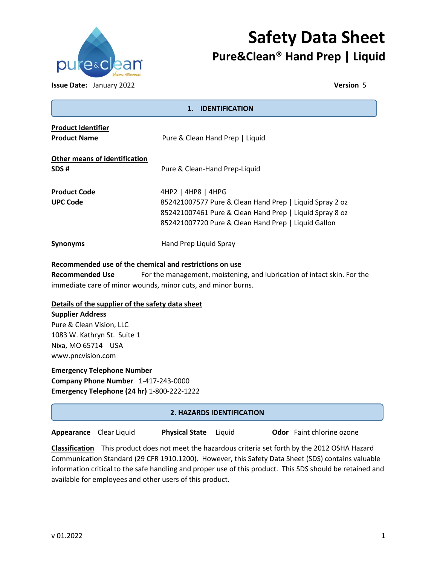

# **Safety Data Sheet Pure&Clean® Hand Prep | Liquid**

**Issue Date:** January 2022 **Version** 5

| 1. IDENTIFICATION                                       |                                                                                                                                                                                                 |  |
|---------------------------------------------------------|-------------------------------------------------------------------------------------------------------------------------------------------------------------------------------------------------|--|
| <b>Product Identifier</b><br><b>Product Name</b>        | Pure & Clean Hand Prep   Liquid                                                                                                                                                                 |  |
| Other means of identification<br>SDS#                   | Pure & Clean-Hand Prep-Liquid                                                                                                                                                                   |  |
| <b>Product Code</b><br><b>UPC Code</b>                  | 4HP2   4HP8   4HPG<br>852421007577 Pure & Clean Hand Prep   Liquid Spray 2 oz<br>852421007461 Pure & Clean Hand Prep   Liquid Spray 8 oz<br>852421007720 Pure & Clean Hand Prep   Liquid Gallon |  |
| <b>Synonyms</b>                                         | Hand Prep Liquid Spray                                                                                                                                                                          |  |
| Recommended use of the chemical and restrictions on use |                                                                                                                                                                                                 |  |
|                                                         | the contract of the contract of the contract of the contract of the contract of the contract of the contract of                                                                                 |  |

**Recommended Use** For the management, moistening, and lubrication of intact skin. For the immediate care of minor wounds, minor cuts, and minor burns.

# **Details of the supplier of the safety data sheet**

# **Supplier Address**

Pure & Clean Vision, LLC 1083 W. Kathryn St. Suite 1 Nixa, MO 65714 USA www.pncvision.com

# **Emergency Telephone Number Company Phone Number** 1-417-243-0000 **Emergency Telephone (24 hr)** 1-800-222-1222

# **2. HAZARDS IDENTIFICATION**

**Appearance** Clear Liquid **Physical State** Liquid **Odor** Faint chlorine ozone

**Classification** This product does not meet the hazardous criteria set forth by the 2012 OSHA Hazard Communication Standard (29 CFR 1910.1200). However, this Safety Data Sheet (SDS) contains valuable information critical to the safe handling and proper use of this product. This SDS should be retained and available for employees and other users of this product.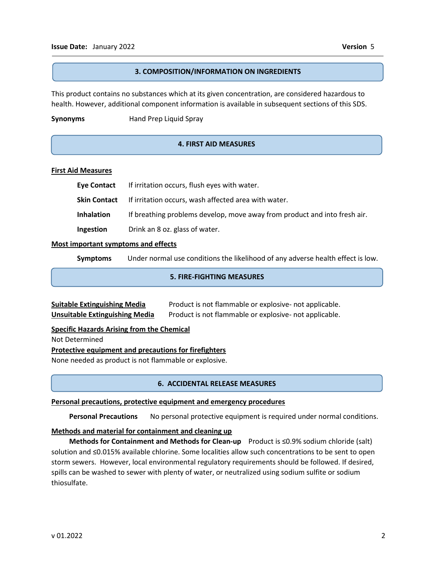j 

#### **3. COMPOSITION/INFORMATION ON INGREDIENTS**

This product contains no substances which at its given concentration, are considered hazardous to health. However, additional component information is available in subsequent sections of this SDS.

#### **Synonyms** Hand Prep Liquid Spray

### **4. FIRST AID MEASURES**

#### **First Aid Measures**

| Eye Contact       | If irritation occurs, flush eyes with water.                              |
|-------------------|---------------------------------------------------------------------------|
|                   | <b>Skin Contact</b> If irritation occurs, wash affected area with water.  |
| <b>Inhalation</b> | If breathing problems develop, move away from product and into fresh air. |
| Ingestion         | Drink an 8 oz. glass of water.                                            |

#### **Most important symptoms and effects**

**Symptoms** Under normal use conditions the likelihood of any adverse health effect is low.

### **5. FIRE-FIGHTING MEASURES**

| <b>Suitable Extinguishing Media</b> | Product is not flammable or explosive- not applicable. |
|-------------------------------------|--------------------------------------------------------|
| Unsuitable Extinguishing Media      | Product is not flammable or explosive- not applicable. |

**Specific Hazards Arising from the Chemical**

Not Determined

#### **Protective equipment and precautions for firefighters**

None needed as product is not flammable or explosive.

#### **6. ACCIDENTAL RELEASE MEASURES**

#### **Personal precautions, protective equipment and emergency procedures**

 **Personal Precautions** No personal protective equipment is required under normal conditions.

### **Methods and material for containment and cleaning up**

 **Methods for Containment and Methods for Clean-up** Product is ≤0.9% sodium chloride (salt) solution and ≤0.015% available chlorine. Some localities allow such concentrations to be sent to open storm sewers. However, local environmental regulatory requirements should be followed. If desired, spills can be washed to sewer with plenty of water, or neutralized using sodium sulfite or sodium thiosulfate.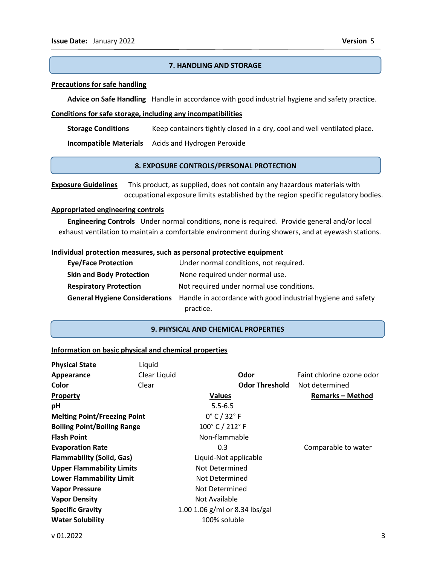#### **7. HANDLING AND STORAGE**

#### **Precautions for safe handling**

 **Advice on Safe Handling** Handle in accordance with good industrial hygiene and safety practice.

#### **Conditions for safe storage, including any incompatibilities**

 **Storage Conditions** Keep containers tightly closed in a dry, cool and well ventilated place.

 **Incompatible Materials** Acids and Hydrogen Peroxide

#### **8. EXPOSURE CONTROLS/PERSONAL PROTECTION**

**Exposure Guidelines** This product, as supplied, does not contain any hazardous materials with occupational exposure limits established by the region specific regulatory bodies.

#### **Appropriated engineering controls**

 **Engineering Controls** Under normal conditions, none is required. Provide general and/or local exhaust ventilation to maintain a comfortable environment during showers, and at eyewash stations.

#### **Individual protection measures, such as personal protective equipment**

| <b>Eye/Face Protection</b>      | Under normal conditions, not required.                                                      |
|---------------------------------|---------------------------------------------------------------------------------------------|
| <b>Skin and Body Protection</b> | None required under normal use.                                                             |
| <b>Respiratory Protection</b>   | Not required under normal use conditions.                                                   |
|                                 | General Hygiene Considerations Handle in accordance with good industrial hygiene and safety |
|                                 | practice.                                                                                   |

#### **9. PHYSICAL AND CHEMICAL PROPERTIES**

#### **Information on basic physical and chemical properties**

| <b>Physical State</b>               | Liquid       |                                |                           |
|-------------------------------------|--------------|--------------------------------|---------------------------|
| Appearance                          | Clear Liquid | Odor                           | Faint chlorine ozone odor |
| Color                               | Clear        | <b>Odor Threshold</b>          | Not determined            |
| <b>Property</b>                     |              | <b>Values</b>                  | <b>Remarks-Method</b>     |
| рH                                  |              | $5.5 - 6.5$                    |                           |
| <b>Melting Point/Freezing Point</b> |              | $0^\circ$ C / 32 $^\circ$ F    |                           |
| <b>Boiling Point/Boiling Range</b>  |              | 100°C / 212°F                  |                           |
| <b>Flash Point</b>                  |              | Non-flammable                  |                           |
| <b>Evaporation Rate</b>             |              | 0.3                            | Comparable to water       |
| <b>Flammability (Solid, Gas)</b>    |              | Liquid-Not applicable          |                           |
| <b>Upper Flammability Limits</b>    |              | Not Determined                 |                           |
| <b>Lower Flammability Limit</b>     |              | Not Determined                 |                           |
| <b>Vapor Pressure</b>               |              | Not Determined                 |                           |
| <b>Vapor Density</b>                |              | Not Available                  |                           |
| <b>Specific Gravity</b>             |              | 1.00 1.06 g/ml or 8.34 lbs/gal |                           |
| <b>Water Solubility</b>             |              | 100% soluble                   |                           |
|                                     |              |                                |                           |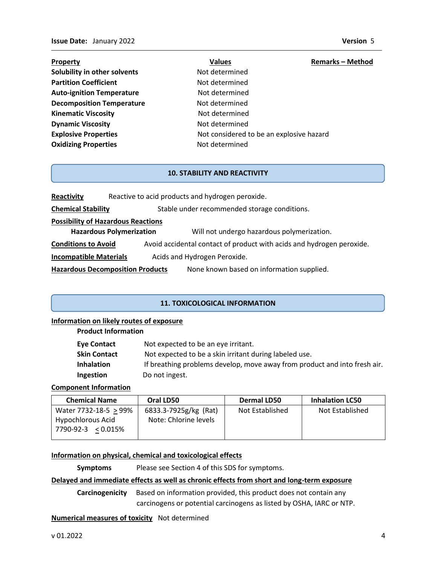- **Property Construction Construction Construction Values 2 American Remarks Method Solubility in other solvents Not determined Partition Coefficient Not determined** Auto-ignition Temperature **Not determined Decomposition Temperature** Not determined **Kinematic Viscosity Not determined Dynamic Viscosity Not determined Oxidizing Properties Not determined**
- **Explosive Properties Not considered to be an explosive hazard**

## **10. STABILITY AND REACTIVITY**

| Reactivity                                | Reactive to acid products and hydrogen peroxide.                                     |
|-------------------------------------------|--------------------------------------------------------------------------------------|
| <b>Chemical Stability</b>                 | Stable under recommended storage conditions.                                         |
| <b>Possibility of Hazardous Reactions</b> |                                                                                      |
|                                           | <b>Hazardous Polymerization</b><br>Will not undergo hazardous polymerization.        |
| <b>Conditions to Avoid</b>                | Avoid accidental contact of product with acids and hydrogen peroxide.                |
| <b>Incompatible Materials</b>             | Acids and Hydrogen Peroxide.                                                         |
|                                           | None known based on information supplied.<br><b>Hazardous Decomposition Products</b> |

#### **11. TOXICOLOGICAL INFORMATION**

#### **Information on likely routes of exposure**

#### **Product Information**

| Eye Contact         | Not expected to be an eye irritant.                                       |
|---------------------|---------------------------------------------------------------------------|
| <b>Skin Contact</b> | Not expected to be a skin irritant during labeled use.                    |
| <b>Inhalation</b>   | If breathing problems develop, move away from product and into fresh air. |
| <b>Ingestion</b>    | Do not ingest.                                                            |

#### **Component Information**

| <b>Chemical Name</b>  | Oral LD50             | <b>Dermal LD50</b> | <b>Inhalation LC50</b> |
|-----------------------|-----------------------|--------------------|------------------------|
| Water 7732-18-5 > 99% | 6833.3-7925g/kg (Rat) | Not Established    | Not Established        |
| Hypochlorous Acid     | Note: Chlorine levels |                    |                        |
| 7790-92-3 < 0.015%    |                       |                    |                        |

#### **Information on physical, chemical and toxicological effects**

**Symptoms** Please see Section 4 of this SDS for symptoms.

#### **Delayed and immediate effects as well as chronic effects from short and long-term exposure**

**Carcinogenicity** Based on information provided, this product does not contain any carcinogens or potential carcinogens as listed by OSHA, IARC or NTP.

#### **Numerical measures of toxicity** Not determined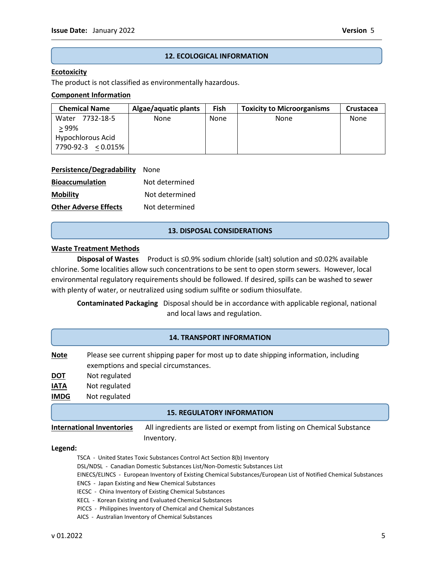#### **12. ECOLOGICAL INFORMATION**

#### **Ecotoxicity**

The product is not classified as environmentally hazardous.

#### **Component Information**

| <b>Chemical Name</b> | Algae/aquatic plants | Fish | <b>Toxicity to Microorganisms</b> | Crustacea |
|----------------------|----------------------|------|-----------------------------------|-----------|
| 7732-18-5<br>Water   | None                 | None | None                              | None      |
| >99%                 |                      |      |                                   |           |
| Hypochlorous Acid    |                      |      |                                   |           |
| 7790-92-3 < 0.015%   |                      |      |                                   |           |

| <b>Persistence/Degradability</b> | None           |
|----------------------------------|----------------|
| <b>Bioaccumulation</b>           | Not determined |
| <b>Mobility</b>                  | Not determined |
| <b>Other Adverse Effects</b>     | Not determined |

#### **13. DISPOSAL CONSIDERATIONS**

#### **Waste Treatment Methods**

**Disposal of Wastes** Product is ≤0.9% sodium chloride (salt) solution and ≤0.02% available chlorine. Some localities allow such concentrations to be sent to open storm sewers. However, local environmental regulatory requirements should be followed. If desired, spills can be washed to sewer with plenty of water, or neutralized using sodium sulfite or sodium thiosulfate.

**Contaminated Packaging** Disposal should be in accordance with applicable regional, national and local laws and regulation.

#### **14. TRANSPORT INFORMATION**

**Note** Please see current shipping paper for most up to date shipping information, including exemptions and special circumstances.

- **DOT** Not regulated
- **IATA** Not regulated
- **IMDG** Not regulated

#### **15. REGULATORY INFORMATION**

**International Inventories** All ingredients are listed or exempt from listing on Chemical Substance Inventory.

#### **Legend:**

TSCA - United States Toxic Substances Control Act Section 8(b) Inventory

DSL/NDSL - Canadian Domestic Substances List/Non-Domestic Substances List

- EINECS/ELINCS European Inventory of Existing Chemical Substances/European List of Notified Chemical Substances
- ENCS Japan Existing and New Chemical Substances
- IECSC China Inventory of Existing Chemical Substances
- KECL Korean Existing and Evaluated Chemical Substances
- PICCS Philippines Inventory of Chemical and Chemical Substances
- AICS Australian Inventory of Chemical Substances